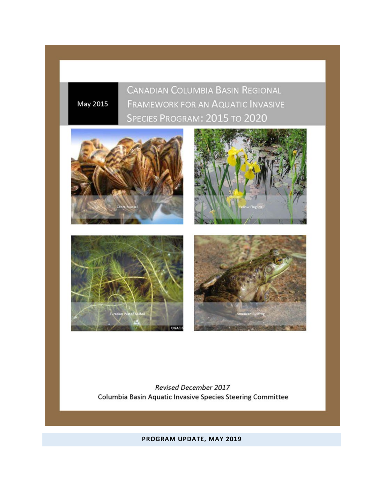**CANADIAN COLUMBIA BASIN REGIONAL** FRAMEWORK FOR AN AQUATIC INVASIVE SPECIES PROGRAM: 2015 TO 2020



May 2015



**Revised December 2017** Columbia Basin Aquatic Invasive Species Steering Committee

**PROGRAM UPDATE, MAY 2019**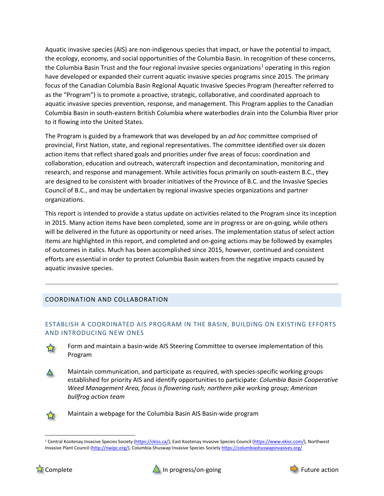Aquatic invasive species (AIS) are non-indigenous species that impact, or have the potential to impact, the ecology, economy, and social opportunities of the Columbia Basin. In recognition of these concerns, the Columbia Basin Trust and the four regional invasive species organizations<sup>[1](#page-1-0)</sup> operating in this region have developed or expanded their current aquatic invasive species programs since 2015. The primary focus of the Canadian Columbia Basin Regional Aquatic Invasive Species Program (hereafter referred to as the "Program") is to promote a proactive, strategic, collaborative, and coordinated approach to aquatic invasive species prevention, response, and management. This Program applies to the Canadian Columbia Basin in south-eastern British Columbia where waterbodies drain into the Columbia River prior to it flowing into the United States.

The Program is guided by a framework that was developed by an *ad hoc* committee comprised of provincial, First Nation, state, and regional representatives. The committee identified over six dozen action items that reflect shared goals and priorities under five areas of focus: coordination and collaboration, education and outreach, watercraft inspection and decontamination, monitoring and research, and response and management. While activities focus primarily on south-eastern B.C., they are designed to be consistent with broader initiatives of the Province of B.C. and the Invasive Species Council of B.C., and may be undertaken by regional invasive species organizations and partner organizations.

This report is intended to provide a status update on activities related to the Program since its inception in 2015. Many action items have been completed, some are in progress or are on-going, while others will be delivered in the future as opportunity or need arises. The implementation status of select action items are highlighted in this report, and completed and on-going actions may be followed by examples of outcomes in italics. Much has been accomplished since 2015, however, continued and consistent efforts are essential in order to protect Columbia Basin waters from the negative impacts caused by aquatic invasive species.

# COORDINATION AND COLLABORATION

# ESTABLISH A COORDINATED AIS PROGRAM IN THE BASIN, BUILDING ON EXISTING EFFORTS AND INTRODUCING NEW ONES



Form and maintain a basin-wide AIS Steering Committee to oversee implementation of this Program

Maintain communication, and participate as required, with species-specific working groups established for priority AIS and identify opportunities to participate: *Columbia Basin Cooperative Weed Management Area, focus is flowering rush; northern pike working group; American bullfrog action team*



Maintain a webpage for the Columbia Basin AIS Basin-wide program





<span id="page-1-0"></span><sup>&</sup>lt;sup>1</sup> Central Kootenay Invasive Species Society [\(https://ckiss.ca/\)](https://ckiss.ca/), East Kootenay Invasive Species Council [\(https://www.ekisc.com/\)](https://www.ekisc.com/), Northwest Invasive Plant Council [\(http://nwipc.org/\)](http://nwipc.org/), Columbia-Shuswap Invasive Species Society <https://columbiashuswapinvasives.org/>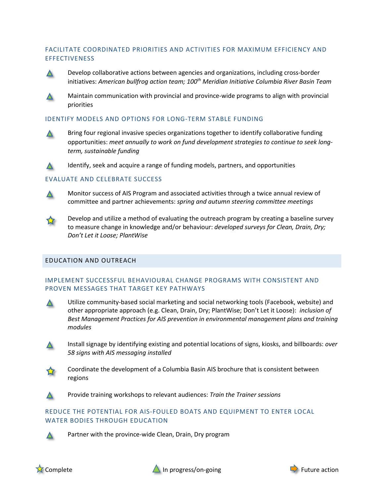# FACILITATE COORDINATED PRIORITIES AND ACTIVITIES FOR MAXIMUM EFFICIENCY AND **EFFECTIVENESS**



Develop collaborative actions between agencies and organizations, including cross-border initiatives: *American bullfrog action team; 100th Meridian Initiative Columbia River Basin Team*



Maintain communication with provincial and province-wide programs to align with provincial priorities

# IDENTIFY MODELS AND OPTIONS FOR LONG-TERM STABLE FUNDING



Bring four regional invasive species organizations together to identify collaborative funding opportunities: *meet annually to work on fund development strategies to continue to seek longterm, sustainable funding*

Identify, seek and acquire a range of funding models, partners, and opportunities  $\Delta$ 

# EVALUATE AND CELEBRATE SUCCESS



Monitor success of AIS Program and associated activities through a twice annual review of committee and partner achievements: *spring and autumn steering committee meetings*



Develop and utilize a method of evaluating the outreach program by creating a baseline survey to measure change in knowledge and/or behaviour: *developed surveys for Clean, Drain, Dry; Don't Let it Loose; PlantWise*

# EDUCATION AND OUTREACH

# IMPLEMENT SUCCESSFUL BEHAVIOURAL CHANGE PROGRAMS WITH CONSISTENT AND PROVEN MESSAGES THAT TARGET KEY PATHWAYS





Install signage by identifying existing and potential locations of signs, kiosks, and billboards: *over 58 signs with AIS messaging installed*



Coordinate the development of a Columbia Basin AIS brochure that is consistent between regions

Provide training workshops to relevant audiences: *Train the Trainer sessions*

# REDUCE THE POTENTIAL FOR AIS-FOULED BOATS AND EQUIPMENT TO ENTER LOCAL WATER BODIES THROUGH EDUCATION



Partner with the province-wide Clean, Drain, Dry program



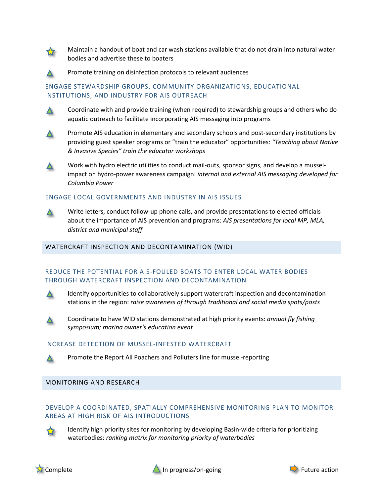

Maintain a handout of boat and car wash stations available that do not drain into natural water bodies and advertise these to boaters



Promote training on disinfection protocols to relevant audiences

# ENGAGE STEWARDSHIP GROUPS, COMMUNITY ORGANIZATIONS, EDUCATIONAL INSTITUTIONS, AND INDUSTRY FOR AIS OUTREACH



Coordinate with and provide training (when required) to stewardship groups and others who do aquatic outreach to facilitate incorporating AIS messaging into programs



Promote AIS education in elementary and secondary schools and post-secondary institutions by providing guest speaker programs or "train the educator" opportunities: *"Teaching about Native & Invasive Species" train the educator workshops*



Work with hydro electric utilities to conduct mail-outs, sponsor signs, and develop a musselimpact on hydro-power awareness campaign: *internal and external AIS messaging developed for Columbia Power*

### ENGAGE LOCAL GOVERNMENTS AND INDUSTRY IN AIS ISSUES



Write letters, conduct follow-up phone calls, and provide presentations to elected officials about the importance of AIS prevention and programs: *AIS presentations for local MP, MLA, district and municipal staff*

### WATERCRAFT INSPECTION AND DECONTAMINATION (WID)

### REDUCE THE POTENTIAL FOR AIS-FOULED BOATS TO ENTER LOCAL WATER BODIES THROUGH WATERCRAFT INSPECTION AND DECONTAMINATION





Coordinate to have WID stations demonstrated at high priority events: *annual fly fishing symposium; marina owner's education event*

#### INCREASE DETECTION OF MUSSEL-INFESTED WATERCRAFT



# MONITORING AND RESEARCH

# DEVELOP A COORDINATED, SPATIALLY COMPREHENSIVE MONITORING PLAN TO MONITOR AREAS AT HIGH RISK OF AIS INTRODUCTIONS



Identify high priority sites for monitoring by developing Basin-wide criteria for prioritizing waterbodies: *ranking matrix for monitoring priority of waterbodies*





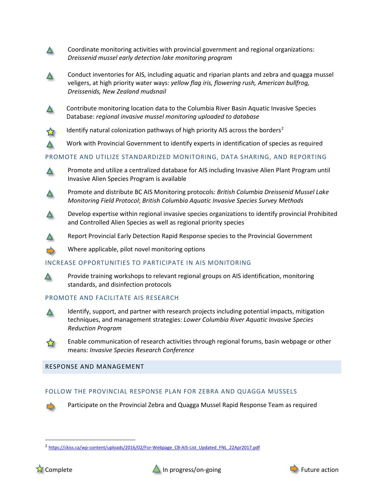Coordinate monitoring activities with provincial government and regional organizations:  $\blacktriangle$ *Dreissenid mussel early detection lake monitoring program*

- Conduct inventories for AIS, including aquatic and riparian plants and zebra and quagga mussel  $\blacktriangle$ veligers, at high priority water ways: *yellow flag iris, flowering rush, American bullfrog, Dreissenids, New Zealand mudsnail*
- $\Delta$

 $\Delta$ 

Contribute monitoring location data to the Columbia River Basin Aquatic Invasive Species Database: *regional invasive mussel monitoring uploaded to database*

Identify natural colonization pathways of high priority AIS across the borders<sup>[2](#page-4-0)</sup>

Work with Provincial Government to identify experts in identification of species as required

# PROMOTE AND UTILIZE STANDARDIZED MONITORING, DATA SHARING, AND REPORTING



Promote and distribute BC AIS Monitoring protocols: *British Columbia Dreissenid Mussel Lake Monitoring Field Protocol*; *British Columbia Aquatic Invasive Species Survey Methods*

- Develop expertise within regional invasive species organizations to identify provincial Prohibited  $\Delta$ and Controlled Alien Species as well as regional priority species
	- Report Provincial Early Detection Rapid Response species to the Provincial Government

Where applicable, pilot novel monitoring options

#### INCREASE OPPORTUNITIES TO PARTICIPATE IN AIS MONITORING

Provide training workshops to relevant regional groups on AIS identification, monitoring standards, and disinfection protocols

# PROMOTE AND FACILITATE AIS RESEARCH



 $\Delta$ 

Identify, support, and partner with research projects including potential impacts, mitigation techniques, and management strategies: *Lower Columbia River Aquatic Invasive Species Reduction Program*



Enable communication of research activities through regional forums, basin webpage or other means: *Invasive Species Research Conference*

#### RESPONSE AND MANAGEMENT

#### FOLLOW THE PROVINCIAL RESPONSE PLAN FOR ZEBRA AND QUAGGA MUSSELS

Participate on the Provincial Zebra and Quagga Mussel Rapid Response Team as required

<span id="page-4-0"></span><sup>&</sup>lt;sup>2</sup> [https://ckiss.ca/wp-content/uploads/2016/02/For-Webpage\\_CB-AIS-List\\_Updated\\_FNL\\_22Apr2017.pdf](https://ckiss.ca/wp-content/uploads/2016/02/For-Webpage_CB-AIS-List_Updated_FNL_22Apr2017.pdf)



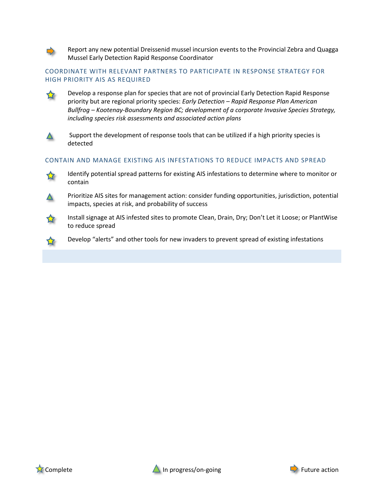

Report any new potential Dreissenid mussel incursion events to the Provincial Zebra and Quagga Mussel Early Detection Rapid Response Coordinator

### COORDINATE WITH RELEVANT PARTNERS TO PARTICIPATE IN RESPONSE STRATEGY FOR HIGH PRIORITY AIS AS REQUIRED



Develop a response plan for species that are not of provincial Early Detection Rapid Response priority but are regional priority species: *Early Detection – Rapid Response Plan American Bullfrog – Kootenay-Boundary Region BC; development of a corporate Invasive Species Strategy, including species risk assessments and associated action plans*



Support the development of response tools that can be utilized if a high priority species is detected

### CONTAIN AND MANAGE EXISTING AIS INFESTATIONS TO REDUCE IMPACTS AND SPREAD



Identify potential spread patterns for existing AIS infestations to determine where to monitor or contain



Prioritize AIS sites for management action: consider funding opportunities, jurisdiction, potential impacts, species at risk, and probability of success



Install signage at AIS infested sites to promote Clean, Drain, Dry; Don't Let it Loose; or PlantWise to reduce spread

Develop "alerts" and other tools for new invaders to prevent spread of existing infestations